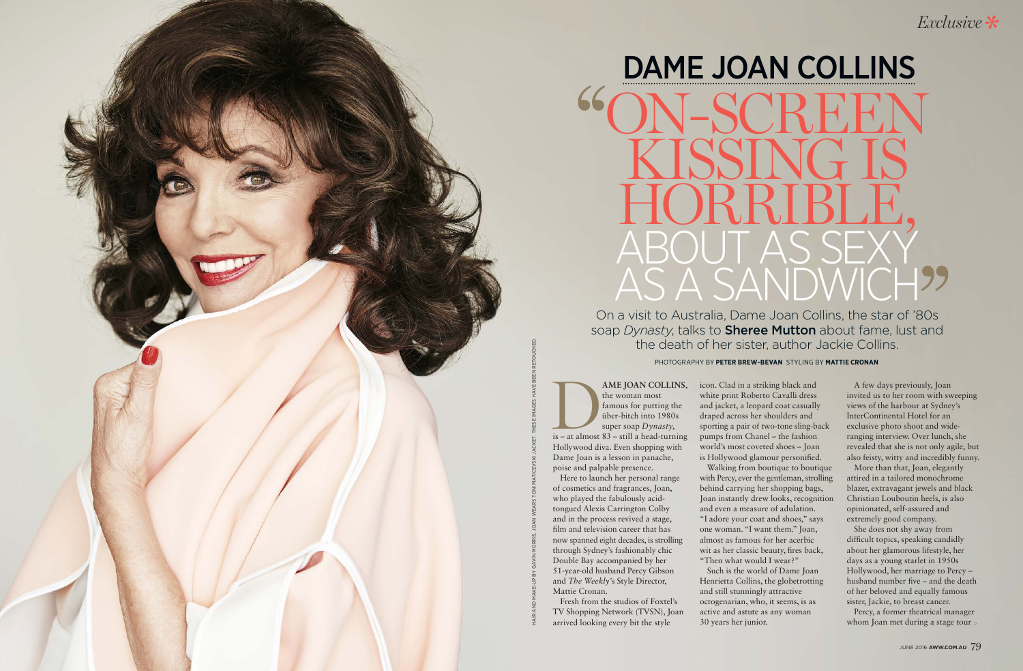HAIR AND MAKE-UP BY GAVIN MORRIS. JOAN WEARS TONI MATICEVSKI JACKET. THESE IMAGES HAVE BEEN RETOUCHED.

PHOTOGRAPHY BY **PETER BREW-BEVAN** STYLING BY **MATTIE CRONAN**

On a visit to Australia, Dame Joan Collins, the star of '80s soap *Dynasty*, talks to Sheree Mutton about fame, lust and the death of her sister, author Jackie Collins.

**AME JOAN COLLINS,**<br>
the woman most<br>
famous for putting the<br>
über-bitch into 1980s<br>
super soap Dynasty,<br>
is – at almost 83 – still a head-turning the woman most famous for putting the über-bitch into 1980s super soap *Dynasty*, Hollywood diva. Even shopping with Dame Joan is a lesson in panache, poise and palpable presence.

Here to launch her personal range of cosmetics and fragrances, Joan, who played the fabulously acidtongued Alexis Carrington Colby and in the process revived a stage, film and television career that has now spanned eight decades, is strolling through Sydney's fashionably chic Double Bay accompanied by her 51-year-old husband Percy Gibson and *The Weekly'*s Style Director, Mattie Cronan.

AME JOAN COLLINS, icon. Clad in a striking black and white print Roberto Cavalli dress and jacket, a leopard coat casually draped across her shoulders and sporting a pair of two-tone sling-back pumps from Chanel – the fashion world's most coveted shoes – Joan is Hollywood glamour personified. Walking from boutique to boutique with Percy, ever the gentleman, strolling behind carrying her shopping bags, Joan instantly drew looks, recognition and even a measure of adulation. "I adore your coat and shoes," says one woman. "I want them." Joan, almost as famous for her acerbic wit as her classic beauty, fires back, "Then what would I wear?" Such is the world of Dame Joan

Fresh from the studios of Foxtel's TV Shopping Network (TVSN), Joan arrived looking every bit the style

She does not shy away from difficult topics, speaking candidly about her glamorous lifestyle, her days as a young starlet in 1950s Hollywood, her marriage to Percy – husband number five – and the death of her beloved and equally famous sister, Jackie, to breast cancer.

Percy, a former theatrical manager whom Joan met during a stage tour >

## DAME JOAN COLLINS ON-SCREEN KISSING IS HORRIBLE, ABOUT AS SEXY AS A SANDWICH

Henrietta Collins, the globetrotting and still stunningly attractive octogenarian, who, it seems, is as active and astute as any woman 30 years her junior.

A few days previously, Joan invited us to her room with sweeping views of the harbour at Sydney's InterContinental Hotel for an exclusive photo shoot and wideranging interview. Over lunch, she revealed that she is not only agile, but also feisty, witty and incredibly funny.

More than that, Joan, elegantly attired in a tailored monochrome blazer, extravagant jewels and black Christian Louboutin heels, is also opinionated, self-assured and extremely good company.

*Exclusive*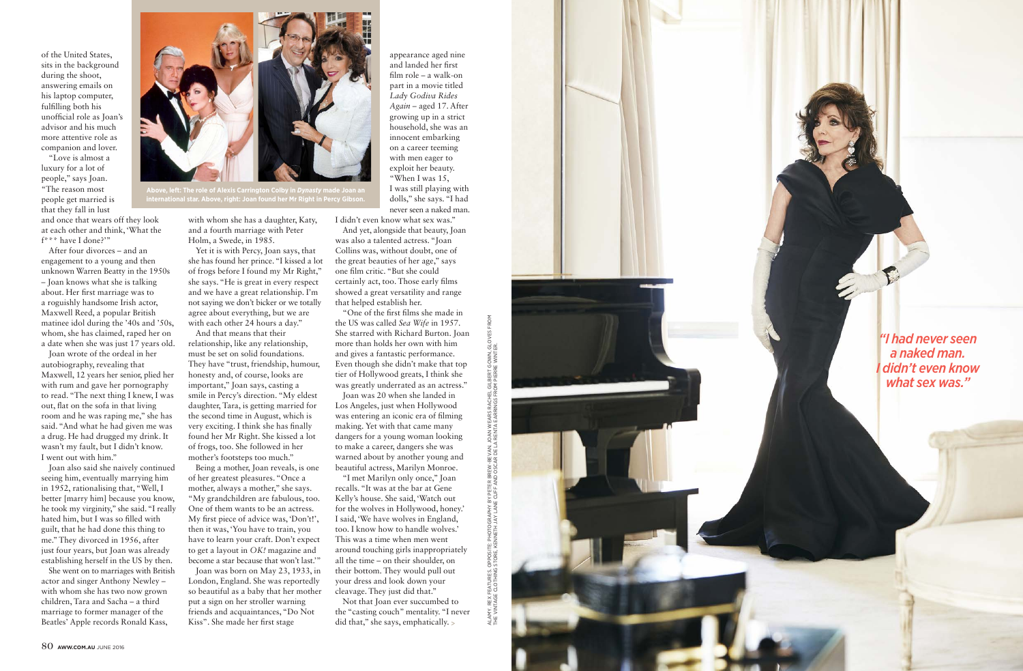ALAMY. REX FEATURES. OPPOSITE: PHOTOGRAPHY BY PETER BREW-BEVAN. JOAN WEARS RACHEL GILBERT GOWN, GLOVES FROM THE VINTAGE CLOTHING STORE, KENNETH JAY LANE CUFF AND OSCAR DE LA RENTA EARRINGS FROM PIERRE WINTER.

JLAMY. REX FEATURES. OPPOSITE: PHOTOGRAPHY BY PETER BREW-BEYAN. JOAN WEARS RACHEL GILBERT GOWN, GLC<br>'HE VINTAGE CLOTHING STORE, KENNETH JAY LANE CUFF AND OSCAR DE LA RENTA EARRINGS FROM PIERRE WINTER.

*"I had never seen a naked man. I didn't even know what sex was."*

of the United States, sits in the background during the shoot, answering emails on his laptop computer, fulfilling both his unofficial role as Joan's advisor and his much more attentive role as companion and lover.

"Love is almost a luxury for a lot of people," says Joan. "The reason most people get married is that they fall in lust

and once that wears off they look at each other and think, 'What the f\*\*\* have I done?'"

After four divorces – and an engagement to a young and then unknown Warren Beatty in the 1950s – Joan knows what she is talking about. Her first marriage was to a roguishly handsome Irish actor, Maxwell Reed, a popular British matinee idol during the '40s and '50s, whom, she has claimed, raped her on a date when she was just 17 years old.

Joan wrote of the ordeal in her autobiography, revealing that Maxwell, 12 years her senior, plied her with rum and gave her pornography to read. "The next thing I knew, I was out, flat on the sofa in that living room and he was raping me," she has said. "And what he had given me was a drug. He had drugged my drink. It wasn't my fault, but I didn't know. I went out with him."

Joan also said she naively continued seeing him, eventually marrying him in 1952, rationalising that, "Well, I better [marry him] because you know, he took my virginity," she said. "I really hated him, but I was so filled with guilt, that he had done this thing to me." They divorced in 1956, after just four years, but Joan was already establishing herself in the US by then.

She went on to marriages with British actor and singer Anthony Newley – with whom she has two now grown children, Tara and Sacha – a third marriage to former manager of the Beatles' Apple records Ronald Kass,

with whom she has a daughter, Katy, and a fourth marriage with Peter Holm, a Swede, in 1985.

Yet it is with Percy, Joan says, that she has found her prince. "I kissed a lot of frogs before I found my Mr Right," she says. "He is great in every respect and we have a great relationship. I'm not saying we don't bicker or we totally agree about everything, but we are with each other 24 hours a day."

And that means that their relationship, like any relationship, must be set on solid foundations. They have "trust, friendship, humour, honesty and, of course, looks are important," Joan says, casting a smile in Percy's direction. "My eldest daughter, Tara, is getting married for the second time in August, which is very exciting. I think she has finally found her Mr Right. She kissed a lot of frogs, too. She followed in her mother's footsteps too much."

Being a mother, Joan reveals, is one of her greatest pleasures. "Once a mother, always a mother," she says. "My grandchildren are fabulous, too. One of them wants to be an actress. My first piece of advice was, 'Don't!', then it was, 'You have to train, you have to learn your craft. Don't expect to get a layout in *OK!* magazine and become a star because that won't last.'"

Joan was born on May 23, 1933, in London, England. She was reportedly so beautiful as a baby that her mother put a sign on her stroller warning friends and acquaintances, "Do Not Kiss". She made her first stage

appearance aged nine and landed her first film role – a walk-on part in a movie titled *Lady Godiva Rides Again* – aged 17. After growing up in a strict household, she was an innocent embarking on a career teeming with men eager to exploit her beauty. "When I was 15, I was still playing with dolls," she says. "I had never seen a naked man.

I didn't even know what sex was."

And yet, alongside that beauty, Joan was also a talented actress. "Joan Collins was, without doubt, one of the great beauties of her age," says one film critic. "But she could certainly act, too. Those early films showed a great versatility and range that helped establish her.

"One of the first films she made in the US was called *Sea Wife* in 1957. She starred with Richard Burton. Joan more than holds her own with him and gives a fantastic performance. Even though she didn't make that top tier of Hollywood greats, I think she was greatly underrated as an actress."

Joan was 20 when she landed in Los Angeles, just when Hollywood was entering an iconic era of filming making. Yet with that came many dangers for a young woman looking to make a career, dangers she was warned about by another young and beautiful actress, Marilyn Monroe.

"I met Marilyn only once," Joan recalls. "It was at the bar at Gene Kelly's house. She said, 'Watch out for the wolves in Hollywood, honey.' I said, 'We have wolves in England, too. I know how to handle wolves.' This was a time when men went around touching girls inappropriately all the time – on their shoulder, on their bottom. They would pull out your dress and look down your cleavage. They just did that."

Not that Joan ever succumbed to the "casting couch" mentality. "I never did that," she says, emphatically. >





**Above, left: The role of Alexis Carrington Colby in** *Dynasty* **made Joan an international star. Above, right: Joan found her Mr Right in Percy Gibson.**